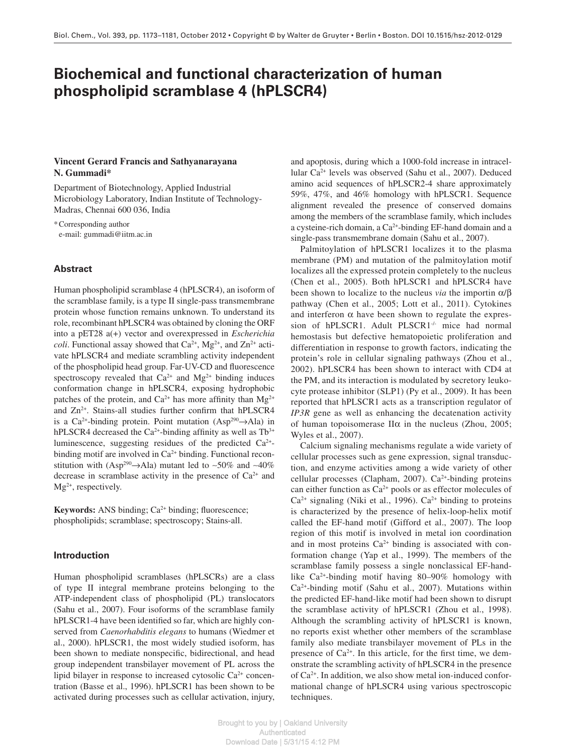# **Biochemical and functional characterization of human phospholipid scramblase 4 (hPLSCR4)**

# **Vincent Gerard Francis and Sathyanarayana**  N. Gummadi<sup>\*</sup>

 Department of Biotechnology, Applied Industrial Microbiology Laboratory, Indian Institute of Technology-Madras, Chennai 600 036 , India

 \* Corresponding author e-mail: gummadi@iitm.ac.in

# **Abstract**

 Human phospholipid scramblase 4 (hPLSCR4), an isoform of the scramblase family, is a type II single-pass transmembrane protein whose function remains unknown. To understand its role, recombinant hPLSCR4 was obtained by cloning the ORF into a pET28 a(+) vector and overexpressed in *Escherichia coli*. Functional assay showed that  $Ca^{2+}$ , Mg<sup>2+</sup>, and Zn<sup>2+</sup> activate hPLSCR4 and mediate scrambling activity independent of the phospholipid head group. Far-UV-CD and fluorescence spectroscopy revealed that  $Ca^{2+}$  and  $Mg^{2+}$  binding induces conformation change in hPLSCR4, exposing hydrophobic patches of the protein, and  $Ca^{2+}$  has more affinity than  $Mg^{2+}$ and  $Zn^{2+}$ . Stains-all studies further confirm that hPLSCR4 is a Ca<sup>2+</sup>-binding protein. Point mutation (Asp<sup>290</sup> $\rightarrow$ Ala) in hPLSCR4 decreased the Ca<sup>2+</sup>-binding affinity as well as  $Tb^{3+}$ luminescence, suggesting residues of the predicted  $Ca^{2+}$ binding motif are involved in  $Ca<sup>2+</sup>$  binding. Functional reconstitution with (Asp<sup>290</sup>→Ala) mutant led to ~50% and ~40% decrease in scramblase activity in the presence of  $Ca^{2+}$  and  $Mg<sup>2+</sup>$ , respectively.

**Keywords:** ANS binding; Ca<sup>2+</sup> binding; fluorescence; phospholipids; scramblase; spectroscopy; Stains-all.

# **Introduction**

 Human phospholipid scramblases (hPLSCRs) are a class of type II integral membrane proteins belonging to the ATP-independent class of phospholipid (PL) translocators (Sahu et al., 2007). Four isoforms of the scramblase family hPLSCR1-4 have been identified so far, which are highly conserved from *Caenorhabditis elegans* to humans (Wiedmer et al., 2000). hPLSCR1, the most widely studied isoform, has been shown to mediate nonspecific, bidirectional, and head group independent transbilayer movement of PL across the lipid bilayer in response to increased cytosolic  $Ca<sup>2+</sup>$  concentration (Basse et al., 1996). hPLSCR1 has been shown to be activated during processes such as cellular activation, injury, and apoptosis, during which a 1000-fold increase in intracellular Ca<sup>2+</sup> levels was observed (Sahu et al., 2007). Deduced amino acid sequences of hPLSCR2-4 share approximately 59%, 47%, and 46% homology with hPLSCR1. Sequence alignment revealed the presence of conserved domains among the members of the scramblase family, which includes a cysteine-rich domain, a  $Ca^{2+}$ -binding EF-hand domain and a single-pass transmembrane domain (Sahu et al., 2007).

 Palmitoylation of hPLSCR1 localizes it to the plasma membrane (PM) and mutation of the palmitoylation motif localizes all the expressed protein completely to the nucleus (Chen et al., 2005). Both hPLSCR1 and hPLSCR4 have been shown to localize to the nucleus *via* the importin  $\alpha/\beta$ pathway (Chen et al., 2005; Lott et al., 2011). Cytokines and interferon  $\alpha$  have been shown to regulate the expression of hPLSCR1. Adult PLSCR1<sup>1</sup> mice had normal hemostasis but defective hematopoietic proliferation and differentiation in response to growth factors, indicating the protein's role in cellular signaling pathways (Zhou et al., 2002). hPLSCR4 has been shown to interact with CD4 at the PM, and its interaction is modulated by secretory leukocyte protease inhibitor (SLP1) (Py et al., 2009). It has been reported that hPLSCR1 acts as a transcription regulator of *IP3R* gene as well as enhancing the decatenation activity of human topoisomerase  $II\alpha$  in the nucleus (Zhou, 2005; Wyles et al., 2007).

 Calcium signaling mechanisms regulate a wide variety of cellular processes such as gene expression, signal transduction, and enzyme activities among a wide variety of other cellular processes (Clapham, 2007).  $Ca<sup>2+</sup>$ -binding proteins can either function as  $Ca^{2+}$  pools or as effector molecules of  $Ca<sup>2+</sup>$  signaling (Niki et al., 1996).  $Ca<sup>2+</sup>$  binding to proteins is characterized by the presence of helix-loop-helix motif called the EF-hand motif (Gifford et al., 2007). The loop region of this motif is involved in metal ion coordination and in most proteins  $Ca^{2+}$  binding is associated with conformation change (Yap et al., 1999). The members of the scramblase family possess a single nonclassical EF-handlike Ca<sup>2+</sup>-binding motif having 80-90% homology with  $Ca<sup>2+</sup>$ -binding motif (Sahu et al., 2007). Mutations within the predicted EF-hand-like motif had been shown to disrupt the scramblase activity of hPLSCR1 (Zhou et al., 1998). Although the scrambling activity of hPLSCR1 is known, no reports exist whether other members of the scramblase family also mediate transbilayer movement of PLs in the presence of  $Ca^{2+}$ . In this article, for the first time, we demonstrate the scrambling activity of hPLSCR4 in the presence of  $Ca<sup>2+</sup>$ . In addition, we also show metal ion-induced conformational change of hPLSCR4 using various spectroscopic techniques.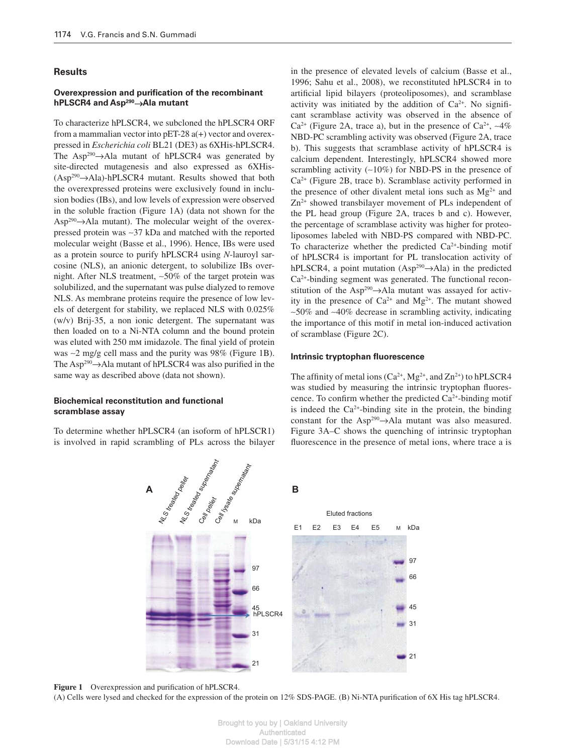#### **Results**

## **Overexpression and purification of the recombinant hPLSCR4 and Asp<sup>290</sup>→Ala mutant**

 To characterize hPLSCR4, we subcloned the hPLSCR4 ORF from a mammalian vector into  $pET-28 a(+)$  vector and overexpressed in *Escherichia coli* BL21 (DE3) as 6XHis-hPLSCR4. The Asp<sup>290</sup> $\rightarrow$ Ala mutant of hPLSCR4 was generated by site-directed mutagenesis and also expressed as 6XHis-  $(Asp<sup>290</sup>\rightarrow Ala)-hPLSCR4$  mutant. Results showed that both the overexpressed proteins were exclusively found in inclusion bodies (IBs), and low levels of expression were observed in the soluble fraction (Figure 1A) (data not shown for the  $Asp^{290} \rightarrow Ala$  mutant). The molecular weight of the overexpressed protein was ∼ 37 kDa and matched with the reported molecular weight (Basse et al., 1996). Hence, IBs were used as a protein source to purify hPLSCR4 using *N* -lauroyl sarcosine (NLS), an anionic detergent, to solubilize IBs overnight. After NLS treatment, ~50% of the target protein was solubilized, and the supernatant was pulse dialyzed to remove NLS. As membrane proteins require the presence of low levels of detergent for stability, we replaced NLS with 0.025% (w/v) Brij-35, a non ionic detergent. The supernatant was then loaded on to a Ni-NTA column and the bound protein was eluted with 250 mm imidazole. The final yield of protein was ∼2 mg/g cell mass and the purity was 98% (Figure 1B). The Asp<sup>290</sup> $\rightarrow$ Ala mutant of hPLSCR4 was also purified in the same way as described above (data not shown).

# **Biochemical reconstitution and functional scramblase assay**

 To determine whether hPLSCR4 (an isoform of hPLSCR1) is involved in rapid scrambling of PLs across the bilayer in the presence of elevated levels of calcium (Basse et al., 1996; Sahu et al., 2008), we reconstituted hPLSCR4 in to artificial lipid bilayers (proteoliposomes), and scramblase activity was initiated by the addition of  $Ca<sup>2+</sup>$ . No significant scramblase activity was observed in the absence of  $Ca<sup>2+</sup>$  (Figure 2A, trace a), but in the presence of  $Ca<sup>2+</sup>$ , ~4% NBD-PC scrambling activity was observed (Figure 2A, trace b). This suggests that scramblase activity of hPLSCR4 is calcium dependent. Interestingly, hPLSCR4 showed more scrambling activity  $(~10\%)$  for NBD-PS in the presence of  $Ca<sup>2+</sup>$  (Figure 2B, trace b). Scramblase activity performed in the presence of other divalent metal ions such as  $Mg^{2+}$  and  $Zn^{2+}$  showed transbilayer movement of PLs independent of the PL head group (Figure 2A, traces b and c). However, the percentage of scramblase activity was higher for proteoliposomes labeled with NBD-PS compared with NBD-PC. To characterize whether the predicted  $Ca^{2+}$ -binding motif of hPLSCR4 is important for PL translocation activity of hPLSCR4, a point mutation  $(Asp^{290} \rightarrow Ala)$  in the predicted  $Ca<sup>2+</sup>$ -binding segment was generated. The functional reconstitution of the Asp<sup>290</sup> $\rightarrow$ Ala mutant was assayed for activity in the presence of  $Ca^{2+}$  and  $Mg^{2+}$ . The mutant showed ∼ 50 % and ∼ 40 % decrease in scrambling activity, indicating the importance of this motif in metal ion-induced activation of scramblase (Figure 2C).

## **Intrinsic tryptophan fluorescence**

The affinity of metal ions  $(Ca^{2+}, Mg^{2+}, and Zn^{2+})$  to hPLSCR4 was studied by measuring the intrinsic tryptophan fluorescence. To confirm whether the predicted  $Ca^{2+}$ -binding motif is indeed the  $Ca^{2+}$ -binding site in the protein, the binding constant for the Asp<sup>290</sup> $\rightarrow$ Ala mutant was also measured. Figure 3A–C shows the quenching of intrinsic tryptophan fluorescence in the presence of metal ions, where trace a is



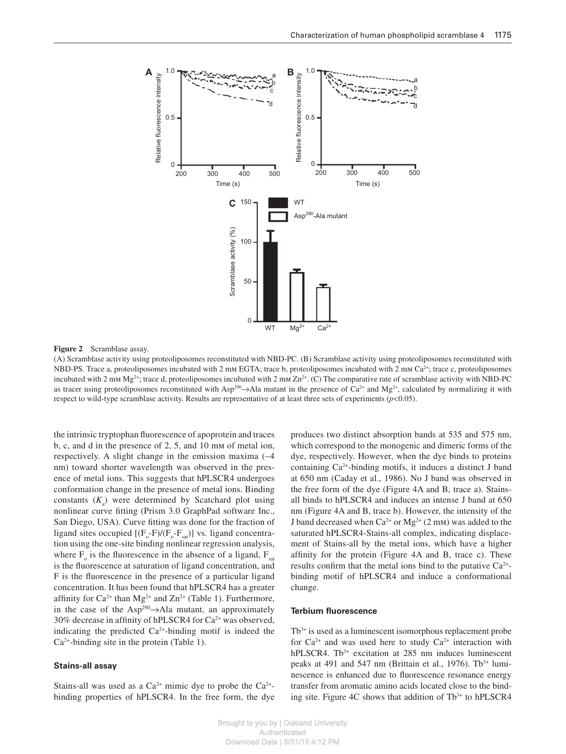

#### **Figure 2** Scramblase assay.

 (A) Scramblase activity using proteoliposomes reconstituted with NBD-PC. (B) Scramblase activity using proteoliposomes reconstituted with NBD-PS. Trace a, proteoliposomes incubated with 2 mm EGTA; trace b, proteoliposomes incubated with 2 mm Ca<sup>2+</sup>; trace c, proteoliposomes incubated with 2 mm Mg<sup>2+</sup>; trace d, proteoliposomes incubated with 2 mm Zn<sup>2+</sup>. (C) The comparative rate of scramblase activity with NBD-PC as tracer using proteoliposomes reconstituted with Asp<sup>290</sup> $\rightarrow$ Ala mutant in the presence of Ca<sup>2+</sup> and Mg<sup>2+</sup>, calculated by normalizing it with respect to wild-type scramblase activity. Results are representative of at least three sets of experiments  $(p<0.05)$ .

the intrinsic tryptophan fluorescence of apoprotein and traces b, c, and d in the presence of  $2, 5$ , and  $10 \text{ mm}$  of metal ion, respectively. A slight change in the emission maxima (~4 nm) toward shorter wavelength was observed in the presence of metal ions. This suggests that hPLSCR4 undergoes conformation change in the presence of metal ions. Binding constants  $(K_a)$  were determined by Scatchard plot using nonlinear curve fitting (Prism 3.0 GraphPad software Inc., San Diego, USA). Curve fitting was done for the fraction of ligand sites occupied  $[(F_o-F)/(F_o-F_{sat})]$  vs. ligand concentration using the one-site binding nonlinear regression analysis, where  $F_{\rm o}$  is the fluorescence in the absence of a ligand,  $F_{\rm sat}$ is the fluorescence at saturation of ligand concentration, and F is the fluorescence in the presence of a particular ligand concentration. It has been found that hPLSCR4 has a greater affinity for  $Ca^{2+}$  than Mg<sup>2+</sup> and  $Zn^{2+}$  (Table 1). Furthermore, in the case of the Asp<sup>290</sup> $\rightarrow$ Ala mutant, an approximately 30% decrease in affinity of hPLSCR4 for  $Ca^{2+}$  was observed, indicating the predicted  $Ca^{2+}$ -binding motif is indeed the  $Ca<sup>2+</sup>$ -binding site in the protein (Table 1).

#### **Stains-all assay**

Stains-all was used as a  $Ca^{2+}$  mimic dye to probe the  $Ca^{2+}$ binding properties of hPLSCR4. In the free form, the dye produces two distinct absorption bands at 535 and 575 nm, which correspond to the monogenic and dimeric forms of the dye, respectively. However, when the dye binds to proteins containing  $Ca^{2+}$ -binding motifs, it induces a distinct J band at 650 nm (Caday et al., 1986). No J band was observed in the free form of the dye (Figure 4A and B, trace a). Stainsall binds to hPLSCR4 and induces an intense J band at 650 nm (Figure 4A and B, trace b). However, the intensity of the J band decreased when  $Ca^{2+}$  or  $Mg^{2+}$  (2 mm) was added to the saturated hPLSCR4-Stains-all complex, indicating displacement of Stains-all by the metal ions, which have a higher affinity for the protein (Figure  $4A$  and B, trace c). These results confirm that the metal ions bind to the putative  $Ca^{2+}$ binding motif of hPLSCR4 and induce a conformational change.

## **Terbium fluorescence**

 $Tb<sup>3+</sup>$  is used as a luminescent isomorphous replacement probe for  $Ca^{2+}$  and was used here to study  $Ca^{2+}$  interaction with hPLSCR4. Tb<sup>3+</sup> excitation at 285 nm induces luminescent peaks at 491 and 547 nm (Brittain et al., 1976).  $Tb^{3+}$  luminescence is enhanced due to fluorescence resonance energy transfer from aromatic amino acids located close to the binding site. Figure 4C shows that addition of  $Tb<sup>3+</sup>$  to hPLSCR4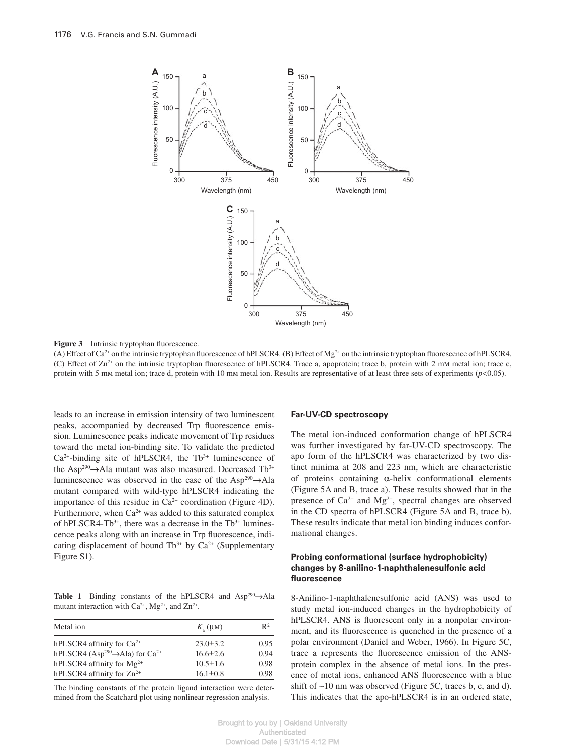

**Figure 3** Intrinsic tryptophan fluorescence.

(A) Effect of Ca<sup>2+</sup> on the intrinsic tryptophan fluorescence of hPLSCR4. (B) Effect of Mg<sup>2+</sup> on the intrinsic tryptophan fluorescence of hPLSCR4. (C) Effect of  $\text{Zn}^{2+}$  on the intrinsic tryptophan fluorescence of hPLSCR4. Trace a, apoprotein; trace b, protein with 2 mm metal ion; trace c, protein with 5 mm metal ion; trace d, protein with 10 mm metal ion. Results are representative of at least three sets of experiments ( $p$ <0.05).

leads to an increase in emission intensity of two luminescent peaks, accompanied by decreased Trp fluorescence emission. Luminescence peaks indicate movement of Trp residues toward the metal ion-binding site. To validate the predicted  $Ca<sup>2+</sup>$ -binding site of hPLSCR4, the Tb<sup>3+</sup> luminescence of the Asp<sup>290</sup> $\rightarrow$ Ala mutant was also measured. Decreased Tb<sup>3+</sup> luminescence was observed in the case of the Asp<sup>290</sup> $\rightarrow$ Ala mutant compared with wild-type hPLSCR4 indicating the importance of this residue in  $Ca<sup>2+</sup>$  coordination (Figure 4D). Furthermore, when  $Ca^{2+}$  was added to this saturated complex of hPLSCR4-Tb<sup>3+</sup>, there was a decrease in the  $Tb<sup>3+</sup>$  luminescence peaks along with an increase in Trp fluorescence, indicating displacement of bound Tb<sup>3+</sup> by Ca<sup>2+</sup> (Supplementary Figure S1).

**Table 1** Binding constants of the hPLSCR4 and  $Asp^{290} \rightarrow Ala$ mutant interaction with  $Ca^{2+}$ , Mg<sup>2+</sup>, and Zn<sup>2+</sup>.

| Metal ion                                                           | $K_{\circ}$ (µM) | $\mathbb{R}^2$ |
|---------------------------------------------------------------------|------------------|----------------|
| hPLSCR4 affinity for $Ca^{2+}$                                      | $23.0 \pm 3.2$   | 0.95           |
| hPLSCR4 (Asp <sup>290</sup> $\rightarrow$ Ala) for Ca <sup>2+</sup> | $16.6 \pm 2.6$   | 0.94           |
| hPLSCR4 affinity for $Mg^{2+}$                                      | $10.5 \pm 1.6$   | 0.98           |
| hPLSCR4 affinity for Zn <sup>2+</sup>                               | $16.1 \pm 0.8$   | 0.98           |

 The binding constants of the protein ligand interaction were determined from the Scatchard plot using nonlinear regression analysis.

#### **Far-UV-CD spectroscopy**

 The metal ion-induced conformation change of hPLSCR4 was further investigated by far-UV-CD spectroscopy. The apo form of the hPLSCR4 was characterized by two distinct minima at 208 and 223 nm, which are characteristic of proteins containing  $\alpha$ -helix conformational elements (Figure 5A and B, trace a). These results showed that in the presence of  $Ca^{2+}$  and  $Mg^{2+}$ , spectral changes are observed in the CD spectra of hPLSCR4 (Figure 5A and B, trace b). These results indicate that metal ion binding induces conformational changes.

## **Probing conformational (surface hydrophobicity) changes by 8-anilino-1-naphthalenesulfonic acid fl uorescence**

 8-Anilino-1-naphthalenesulfonic acid (ANS) was used to study metal ion-induced changes in the hydrophobicity of hPLSCR4. ANS is fluorescent only in a nonpolar environment, and its fluorescence is quenched in the presence of a polar environment (Daniel and Weber, 1966). In Figure 5C, trace a represents the fluorescence emission of the ANSprotein complex in the absence of metal ions. In the presence of metal ions, enhanced ANS fluorescence with a blue shift of ∼ 10 nm was observed (Figure 5C, traces b, c, and d). This indicates that the apo-hPLSCR4 is in an ordered state,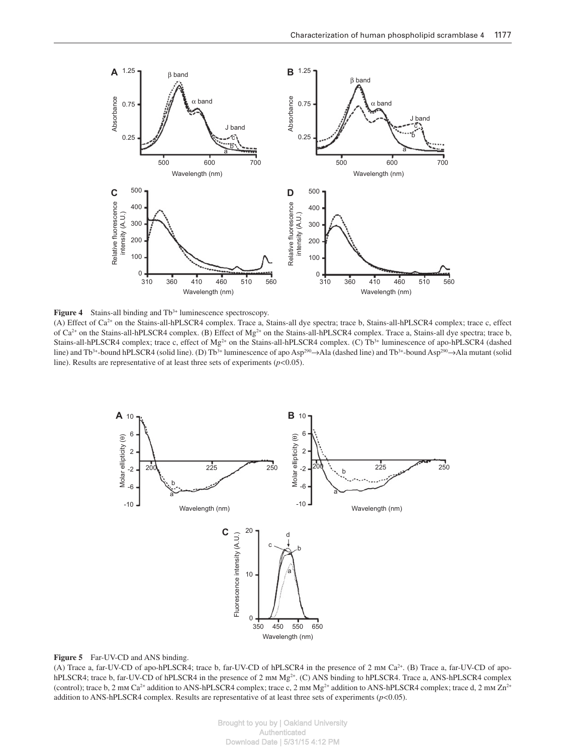

**Figure 4** Stains-all binding and Tb<sup>3+</sup> luminescence spectroscopy.

(A) Effect of  $Ca^{2+}$  on the Stains-all-hPLSCR4 complex. Trace a, Stains-all dye spectra; trace b, Stains-all-hPLSCR4 complex; trace c, effect of Ca<sup>2+</sup> on the Stains-all-hPLSCR4 complex. (B) Effect of Mg<sup>2+</sup> on the Stains-all-hPLSCR4 complex. Trace a, Stains-all dye spectra; trace b, Stains-all-hPLSCR4 complex; trace c, effect of Mg<sup>2+</sup> on the Stains-all-hPLSCR4 complex. (C) Tb<sup>3+</sup> luminescence of apo-hPLSCR4 (dashed line) and Tb<sup>3+</sup>-bound hPLSCR4 (solid line). (D) Tb<sup>3+</sup> luminescence of apo Asp<sup>290</sup>→Ala (dashed line) and Tb<sup>3+</sup>-bound Asp<sup>290</sup>→Ala mutant (solid line). Results are representative of at least three sets of experiments  $(p<0.05)$ .



#### Figure 5 Far-UV-CD and ANS binding.

(A) Trace a, far-UV-CD of apo-hPLSCR4; trace b, far-UV-CD of hPLSCR4 in the presence of 2 mm  $Ca<sup>2+</sup>$ . (B) Trace a, far-UV-CD of apohPLSCR4; trace b, far-UV-CD of hPLSCR4 in the presence of 2 mm  $Mg<sup>2+</sup>$ . (C) ANS binding to hPLSCR4. Trace a, ANS-hPLSCR4 complex (control); trace b, 2 mm Ca<sup>2+</sup> addition to ANS-hPLSCR4 complex; trace c, 2 mm Mg<sup>2+</sup> addition to ANS-hPLSCR4 complex; trace d, 2 mm Zn<sup>2+</sup> addition to ANS-hPLSCR4 complex. Results are representative of at least three sets of experiments ( $p$  < 0.05).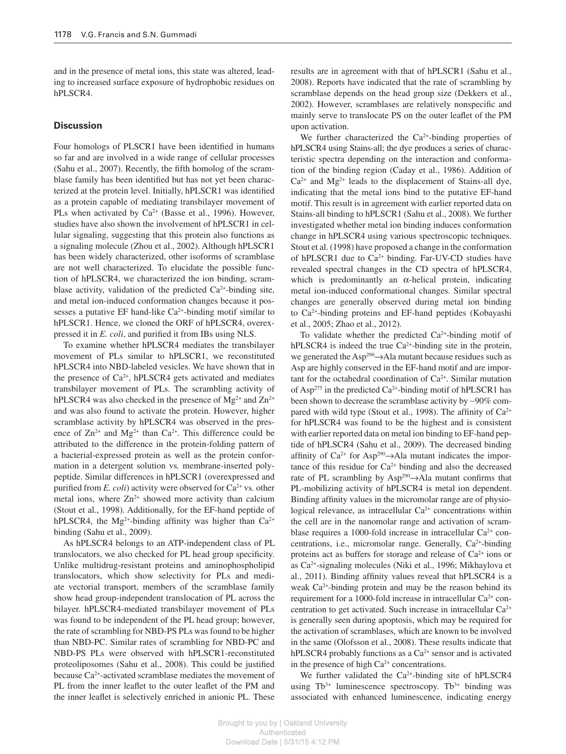and in the presence of metal ions, this state was altered, leading to increased surface exposure of hydrophobic residues on hPLSCR4.

## **Discussion**

Four homologs of PLSCR1 have been identified in humans so far and are involved in a wide range of cellular processes (Sahu et al., 2007). Recently, the fifth homolog of the scramblase family has been identified but has not yet been characterized at the protein level. Initially, hPLSCR1 was identified as a protein capable of mediating transbilayer movement of PLs when activated by  $Ca^{2+}$  (Basse et al., 1996). However, studies have also shown the involvement of hPLSCR1 in cellular signaling, suggesting that this protein also functions as a signaling molecule (Zhou et al., 2002). Although hPLSCR1 has been widely characterized, other isoforms of scramblase are not well characterized. To elucidate the possible function of hPLSCR4, we characterized the ion binding, scramblase activity, validation of the predicted  $Ca^{2+}$ -binding site, and metal ion-induced conformation changes because it possesses a putative EF hand-like  $Ca<sup>2+</sup>$ -binding motif similar to hPLSCR1. Hence, we cloned the ORF of hPLSCR4, overexpressed it in *E. coli*, and purified it from IBs using NLS.

 To examine whether hPLSCR4 mediates the transbilayer movement of PLs similar to hPLSCR1, we reconstituted hPLSCR4 into NBD-labeled vesicles. We have shown that in the presence of  $Ca^{2+}$ , hPLSCR4 gets activated and mediates transbilayer movement of PLs. The scrambling activity of hPLSCR4 was also checked in the presence of  $Mg^{2+}$  and  $Zn^{2+}$ and was also found to activate the protein. However, higher scramblase activity by hPLSCR4 was observed in the presence of  $Zn^{2+}$  and  $Mg^{2+}$  than  $Ca^{2+}$ . This difference could be attributed to the difference in the protein-folding pattern of a bacterial-expressed protein as well as the protein conformation in a detergent solution vs*.* membrane-inserted polypeptide. Similar differences in hPLSCR1 (overexpressed and purified from *E. coli*) activity were observed for Ca<sup>2+</sup> vs. other metal ions, where  $Zn^{2+}$  showed more activity than calcium (Stout et al., 1998). Additionally, for the EF-hand peptide of hPLSCR4, the Mg<sup>2+</sup>-binding affinity was higher than  $Ca^{2+}$ binding (Sahu et al., 2009).

 As hPLSCR4 belongs to an ATP-independent class of PL translocators, we also checked for PL head group specificity. Unlike multidrug-resistant proteins and aminophospholipid translocators, which show selectivity for PLs and mediate vectorial transport, members of the scramblase family show head group-independent translocation of PL across the bilayer. hPLSCR4-mediated transbilayer movement of PLs was found to be independent of the PL head group; however, the rate of scrambling for NBD-PS PLs was found to be higher than NBD-PC. Similar rates of scrambling for NBD-PC and NBD-PS PLs were observed with hPLSCR1-reconstituted proteoliposomes (Sahu et al., 2008). This could be justified because  $Ca^{2+}$ -activated scramblase mediates the movement of PL from the inner leaflet to the outer leaflet of the PM and the inner leaflet is selectively enriched in anionic PL. These results are in agreement with that of hPLSCR1 (Sahu et al., 2008 ). Reports have indicated that the rate of scrambling by scramblase depends on the head group size (Dekkers et al., 2002). However, scramblases are relatively nonspecific and mainly serve to translocate PS on the outer leaflet of the PM upon activation.

We further characterized the  $Ca<sup>2+</sup>$ -binding properties of hPLSCR4 using Stains-all; the dye produces a series of characteristic spectra depending on the interaction and conformation of the binding region (Caday et al., 1986). Addition of  $Ca<sup>2+</sup>$  and Mg<sup>2+</sup> leads to the displacement of Stains-all dye, indicating that the metal ions bind to the putative EF-hand motif. This result is in agreement with earlier reported data on Stains-all binding to hPLSCR1 (Sahu et al., 2008). We further investigated whether metal ion binding induces conformation change in hPLSCR4 using various spectroscopic techniques. Stout et al. (1998) have proposed a change in the conformation of hPLSCR1 due to  $Ca^{2+}$  binding. Far-UV-CD studies have revealed spectral changes in the CD spectra of hPLSCR4, which is predominantly an  $\alpha$ -helical protein, indicating metal ion-induced conformational changes. Similar spectral changes are generally observed during metal ion binding to  $Ca<sup>2+</sup>$ -binding proteins and EF-hand peptides (Kobayashi et al., 2005; Zhao et al., 2012).

To validate whether the predicted  $Ca^{2+}$ -binding motif of hPLSCR4 is indeed the true  $Ca^{2+}$ -binding site in the protein, we generated the Asp<sup>290</sup>→ Ala mutant because residues such as Asp are highly conserved in the EF-hand motif and are important for the octahedral coordination of  $Ca<sup>2+</sup>$ . Similar mutation of Asp<sup>275</sup> in the predicted Ca<sup>2+</sup>-binding motif of hPLSCR1 has been shown to decrease the scramblase activity by ~90% compared with wild type (Stout et al., 1998). The affinity of  $Ca^{2+}$ for hPLSCR4 was found to be the highest and is consistent with earlier reported data on metal ion binding to EF-hand peptide of hPLSCR4 (Sahu et al., 2009). The decreased binding affinity of  $Ca^{2+}$  for Asp<sup>290</sup> $\rightarrow$ Ala mutant indicates the importance of this residue for  $Ca^{2+}$  binding and also the decreased rate of PL scrambling by Asp<sup>290</sup> $\rightarrow$ Ala mutant confirms that PL-mobilizing activity of hPLSCR4 is metal ion dependent. Binding affinity values in the micromolar range are of physiological relevance, as intracellular  $Ca<sup>2+</sup>$  concentrations within the cell are in the nanomolar range and activation of scramblase requires a 1000-fold increase in intracellular  $Ca^{2+}$  concentrations, i.e., micromolar range. Generally, Ca<sup>2+</sup>-binding proteins act as buffers for storage and release of  $Ca<sup>2+</sup>$  ions or as Ca<sup>2+</sup>-signaling molecules (Niki et al., 1996; Mikhaylova et al., 2011). Binding affinity values reveal that hPLSCR4 is a weak  $Ca<sup>2+</sup>$ -binding protein and may be the reason behind its requirement for a 1000-fold increase in intracellular  $Ca^{2+}$  concentration to get activated. Such increase in intracellular  $Ca^{2+}$ is generally seen during apoptosis, which may be required for the activation of scramblases, which are known to be involved in the same (Olofsson et al., 2008). These results indicate that hPLSCR4 probably functions as a  $Ca<sup>2+</sup>$  sensor and is activated in the presence of high  $Ca<sup>2+</sup>$  concentrations.

We further validated the  $Ca^{2+}$ -binding site of hPLSCR4 using  $Tb^{3+}$  luminescence spectroscopy.  $Tb^{3+}$  binding was associated with enhanced luminescence, indicating energy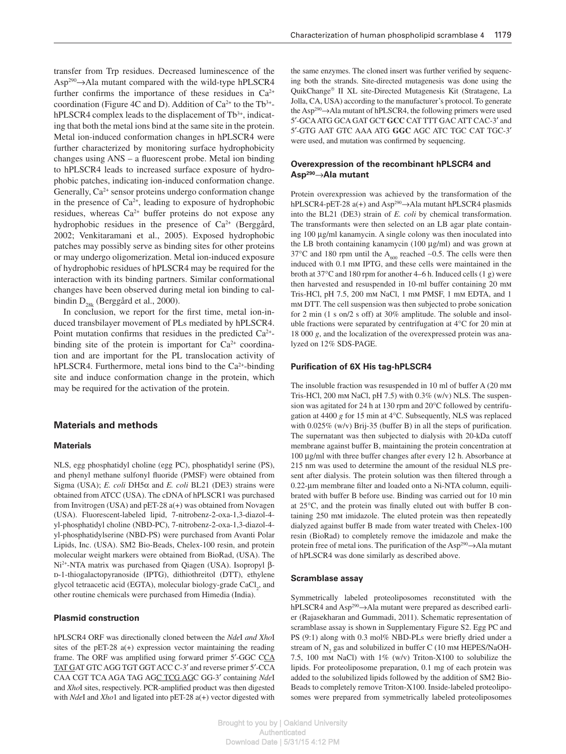transfer from Trp residues. Decreased luminescence of the  $Asp^{290} \rightarrow Ala$  mutant compared with the wild-type hPLSCR4 further confirms the importance of these residues in  $Ca^{2+}$ coordination (Figure 4C and D). Addition of  $Ca^{2+}$  to the Tb<sup>3+</sup>hPLSCR4 complex leads to the displacement of  $Tb<sup>3+</sup>$ , indicating that both the metal ions bind at the same site in the protein. Metal ion-induced conformation changes in hPLSCR4 were further characterized by monitoring surface hydrophobicity changes using  $ANS - a$  fluorescent probe. Metal ion binding to hPLSCR4 leads to increased surface exposure of hydrophobic patches, indicating ion-induced conformation change. Generally, Ca<sup>2+</sup> sensor proteins undergo conformation change in the presence of  $Ca^{2+}$ , leading to exposure of hydrophobic residues, whereas  $Ca^{2+}$  buffer proteins do not expose any hydrophobic residues in the presence of  $Ca^{2+}$  (Berggård, 2002; Venkitaramani et al., 2005). Exposed hydrophobic patches may possibly serve as binding sites for other proteins or may undergo oligomerization. Metal ion-induced exposure of hydrophobic residues of hPLSCR4 may be required for the interaction with its binding partners. Similar conformational changes have been observed during metal ion binding to calbindin  $D_{\text{28k}}$  (Berggård et al., 2000).

In conclusion, we report for the first time, metal ion-induced transbilayer movement of PLs mediated by hPLSCR4. Point mutation confirms that residues in the predicted  $Ca<sup>2+</sup>$ binding site of the protein is important for  $Ca^{2+}$  coordination and are important for the PL translocation activity of hPLSCR4. Furthermore, metal ions bind to the  $Ca<sup>2+</sup>$ -binding site and induce conformation change in the protein, which may be required for the activation of the protein.

### **Materials and methods**

### **Materials**

 NLS, egg phosphatidyl choline (egg PC), phosphatidyl serine (PS), and phenyl methane sulfonyl fluoride (PMSF) were obtained from Sigma (USA); *E. coli* DH5 α and *E. coli* BL21 (DE3) strains were obtained from ATCC (USA). The cDNA of hPLSCR1 was purchased from Invitrogen (USA) and  $pET-28$  a(+) was obtained from Novagen (USA). Fluorescent-labeled lipid, 7-nitrobenz-2-oxa-1,3-diazol-4 yl-phosphatidyl choline (NBD-PC), 7-nitrobenz-2-oxa-1,3-diazol-4 yl-phosphatidylserine (NBD-PS) were purchased from Avanti Polar Lipids, Inc. (USA). SM2 Bio-Beads, Chelex-100 resin, and protein molecular weight markers were obtained from BioRad, (USA). The Ni<sup>2+</sup>-NTA matrix was purchased from Qiagen (USA). Isopropyl βd -1-thiogalactopyranoside (IPTG), dithiothreitol (DTT), ethylene glycol tetraacetic acid (EGTA), molecular biology-grade CaCl<sub>2</sub>, and other routine chemicals were purchased from Himedia (India).

### **Plasmid construction**

hPLSCR4 ORF was directionally cloned between the *NdeI and XhoI* sites of the pET-28  $a(+)$  expression vector maintaining the reading frame. The ORF was amplified using forward primer 5'-GGC CCA TAT GAT GTC AGG TGT GGT ACC C-3' and reverse primer 5'-CCA CAA CGT TCA AGA TAG AGC TCG AGC GG-3' containing NdeI and *Xho*I sites, respectively. PCR-amplified product was then digested with *NdeI* and *Xho1* and ligated into pET-28 a(+) vector digested with the same enzymes. The cloned insert was further verified by sequencing both the strands. Site-directed mutagenesis was done using the QuikChange<sup>®</sup> II XL site-Directed Mutagenesis Kit (Stratagene, La Jolla, CA, USA) according to the manufacturer's protocol. To generate the Asp<sup>290</sup> $\rightarrow$ Ala mutant of hPLSCR4, the following primers were used 5 ′ -GCA ATG GCA GAT GCT **GCC** CAT TTT GAC ATT CAC-3 ′ and 5 ′ -GTG AAT GTC AAA ATG **GGC** AGC ATC TGC CAT TGC-3 ′ were used, and mutation was confirmed by sequencing.

## **Overexpression of the recombinant hPLSCR4 and Asp <sup>290</sup>**→ **Ala mutant**

 Protein overexpression was achieved by the transformation of the hPLSCR4-pET-28  $a(+)$  and Asp<sup>290</sup> $\rightarrow$ Ala mutant hPLSCR4 plasmids into the BL21 (DE3) strain of *E. coli* by chemical transformation. The transformants were then selected on an LB agar plate containing 100 µg/ml kanamycin. A single colony was then inoculated into the LB broth containing kanamycin (100 µg/ml) and was grown at 37 °C and 180 rpm until the A<sub>600</sub> reached ~0.5. The cells were then induced with 0.1 mm IPTG, and these cells were maintained in the broth at  $37^{\circ}$ C and 180 rpm for another 4–6 h. Induced cells (1 g) were then harvested and resuspended in 10-ml buffer containing 20 mm Tris-HCl, pH 7.5, 200 mm NaCl, 1 mm PMSF, 1 mm EDTA, and 1 m DTT. The cell suspension was then subjected to probe sonication for 2 min (1 s on/2 s off) at  $30\%$  amplitude. The soluble and insoluble fractions were separated by centrifugation at  $4^{\circ}$ C for 20 min at 18 000 *g* , and the localization of the overexpressed protein was analyzed on 12% SDS-PAGE.

#### **Purification of 6X His tag-hPLSCR4**

The insoluble fraction was resuspended in 10 ml of buffer A (20 mm Tris-HCl, 200 mm NaCl, pH 7.5) with  $0.3\%$  (w/v) NLS. The suspension was agitated for 24 h at 130 rpm and  $20^{\circ}$ C followed by centrifugation at 4400 *g* for 15 min at 4°C. Subsequently, NLS was replaced with  $0.025\%$  (w/v) Brij-35 (buffer B) in all the steps of purification. The supernatant was then subjected to dialysis with 20-kDa cutoff membrane against buffer B, maintaining the protein concentration at 100 µg/ml with three buffer changes after every 12 h. Absorbance at 215 nm was used to determine the amount of the residual NLS present after dialysis. The protein solution was then filtered through a 0.22-um membrane filter and loaded onto a Ni-NTA column, equilibrated with buffer B before use. Binding was carried out for 10 min at  $25^{\circ}$ C, and the protein was finally eluted out with buffer B containing 250 mm imidazole. The eluted protein was then repeatedly dialyzed against buffer B made from water treated with Chelex-100 resin (BioRad) to completely remove the imidazole and make the protein free of metal ions. The purification of the Asp<sup>290</sup> $\rightarrow$ Ala mutant of hPLSCR4 was done similarly as described above.

#### **Scramblase assay**

 Symmetrically labeled proteoliposomes reconstituted with the hPLSCR4 and Asp<sup>290</sup>→Ala mutant were prepared as described earlier (Rajasekharan and Gummadi, 2011). Schematic representation of scramblase assay is shown in Supplementary Figure S2 . Egg PC and PS (9:1) along with 0.3 mol% NBD-PLs were briefly dried under a stream of  $N_2$  gas and solubilized in buffer C (10 mm HEPES/NaOH-7.5, 100 mm NaCl) with  $1\%$  (w/v) Triton-X100 to solubilize the lipids. For proteoliposome preparation, 0.1 mg of each protein was added to the solubilized lipids followed by the addition of SM2 Bio-Beads to completely remove Triton-X100. Inside-labeled proteoliposomes were prepared from symmetrically labeled proteoliposomes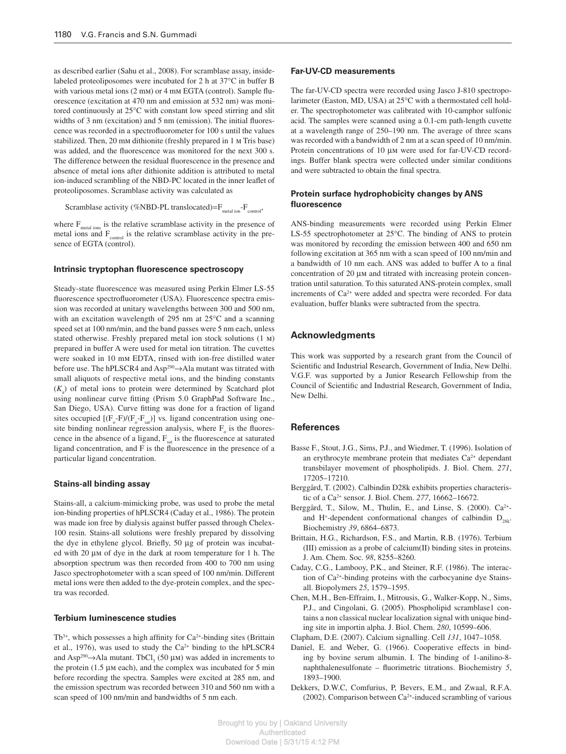as described earlier (Sahu et al., 2008). For scramblase assay, insidelabeled proteoliposomes were incubated for 2 h at  $37^{\circ}$ C in buffer B with various metal ions  $(2 \text{ mm})$  or  $4 \text{ mm}$  EGTA (control). Sample fluorescence (excitation at 470 nm and emission at 532 nm) was monitored continuously at 25°C with constant low speed stirring and slit widths of  $3 \text{ nm}$  (excitation) and  $5 \text{ nm}$  (emission). The initial fluorescence was recorded in a spectrofluorometer for 100 s until the values stabilized. Then, 20 mm dithionite (freshly prepared in 1 m Tris base) was added, and the fluorescence was monitored for the next 300 s. The difference between the residual fluorescence in the presence and absence of metal ions after dithionite addition is attributed to metal ion-induced scrambling of the NBD-PC located in the inner leaflet of proteoliposomes. Scramblase activity was calculated as

Scramblase activity (%NBD-PL translocated)= $F_{\text{metal ion}}$ - $F_{\text{control}}$ ,

where  $F_{\text{metal ions}}$  is the relative scramblase activity in the presence of metal ions and  $F_{control}$  is the relative scramblase activity in the presence of EGTA (control).

#### **Intrinsic tryptophan fluorescence spectroscopy**

Steady-state fluorescence was measured using Perkin Elmer LS-55 fluorescence spectrofluorometer (USA). Fluorescence spectra emission was recorded at unitary wavelengths between 300 and 500 nm, with an excitation wavelength of 295 nm at  $25^{\circ}$ C and a scanning speed set at 100 nm/min, and the band passes were 5 nm each, unless stated otherwise. Freshly prepared metal ion stock solutions (1 M) prepared in buffer A were used for metal ion titration. The cuvettes were soaked in 10 mm EDTA, rinsed with ion-free distilled water before use. The hPLSCR4 and Asp<sup>290</sup>→ Ala mutant was titrated with small aliquots of respective metal ions, and the binding constants  $(K_a)$  of metal ions to protein were determined by Scatchard plot using nonlinear curve fitting (Prism 5.0 GraphPad Software Inc., San Diego, USA). Curve fitting was done for a fraction of ligand sites occupied  $[(F_o-F)/(F_o-F_{sat})]$  vs. ligand concentration using onesite binding nonlinear regression analysis, where  $F_{o}$  is the fluorescence in the absence of a ligand,  $F_{\text{sat}}$  is the fluorescence at saturated ligand concentration, and  $F$  is the fluorescence in the presence of a particular ligand concentration.

#### **Stains-all binding assay**

 Stains-all, a calcium-mimicking probe, was used to probe the metal ion-binding properties of hPLSCR4 (Caday et al., 1986). The protein was made ion free by dialysis against buffer passed through Chelex-100 resin. Stains-all solutions were freshly prepared by dissolving the dye in ethylene glycol. Briefly,  $50 \mu$ g of protein was incubated with 20 µm of dye in the dark at room temperature for 1 h. The absorption spectrum was then recorded from 400 to 700 nm using Jasco spectrophotometer with a scan speed of 100 nm/min. Different metal ions were then added to the dye-protein complex, and the spectra was recorded.

### **Terbium luminescence studies**

 $Tb^{3+}$ , which possesses a high affinity for  $Ca^{2+}$ -binding sites (Brittain et al., 1976), was used to study the  $Ca^{2+}$  binding to the hPLSCR4 and Asp<sup>290</sup> $\rightarrow$ Ala mutant. TbCl<sub>3</sub> (50  $\mu$ m) was added in increments to the protein  $(1.5 \mu \text{m}$  each), and the complex was incubated for 5 min before recording the spectra. Samples were excited at 285 nm, and the emission spectrum was recorded between 310 and 560 nm with a scan speed of 100 nm/min and bandwidths of 5 nm each.

## **Far-UV-CD measurements**

 The far-UV-CD spectra were recorded using Jasco J-810 spectropolarimeter (Easton, MD, USA) at 25°C with a thermostated cell holder. The spectrophotometer was calibrated with 10-camphor sulfonic acid. The samples were scanned using a 0.1-cm path-length cuvette at a wavelength range of 250–190 nm. The average of three scans was recorded with a bandwidth of 2 nm at a scan speed of 10 nm/min. Protein concentrations of 10  $\mu$ m were used for far-UV-CD recordings. Buffer blank spectra were collected under similar conditions and were subtracted to obtain the final spectra.

#### **Protein surface hydrophobicity changes by ANS fl uorescence**

 ANS-binding measurements were recorded using Perkin Elmer LS-55 spectrophotometer at  $25^{\circ}$ C. The binding of ANS to protein was monitored by recording the emission between 400 and 650 nm following excitation at 365 nm with a scan speed of 100 nm/min and a bandwidth of 10 nm each. ANS was added to buffer A to a final concentration of 20 µm and titrated with increasing protein concentration until saturation. To this saturated ANS-protein complex, small increments of  $Ca^{2+}$  were added and spectra were recorded. For data evaluation, buffer blanks were subtracted from the spectra.

## **Acknowledgments**

 This work was supported by a research grant from the Council of Scientific and Industrial Research, Government of India, New Delhi. V.G.F. was supported by a Junior Research Fellowship from the Council of Scientific and Industrial Research, Government of India, New Delhi.

## **References**

- Basse F., Stout, J.G., Sims, P.J., and Wiedmer, T. (1996). Isolation of an erythrocyte membrane protein that mediates  $Ca^{2+}$  dependant transbilayer movement of phospholipids. J. Biol. Chem. *271* , 17205 – 17210.
- Berggård, T. (2002). Calbindin D28k exhibits properties characteristic of a Ca<sup>2+</sup> sensor. J. Biol. Chem. 277, 16662-16672.
- Berggård, T., Silow, M., Thulin, E., and Linse, S. (2000). Ca<sup>2+</sup>and H<sup>+</sup>-dependent conformational changes of calbindin  $D_{28k}$ . Biochemistry 39, 6864-6873.
- Brittain, H.G., Richardson, F.S., and Martin, R.B. (1976). Terbium (III) emission as a probe of calcium(II) binding sites in proteins. J. Am. Chem. Soc. *98* , 8255 – 8260.
- Caday, C.G., Lambooy, P.K., and Steiner, R.F. (1986). The interaction of  $Ca<sup>2+</sup>$ -binding proteins with the carbocyanine dye Stainsall. Biopolymers 25, 1579-1595.
- Chen, M.H., Ben-Effraim, I., Mitrousis, G., Walker-Kopp, N., Sims, P.J., and Cingolani, G. (2005). Phospholipid scramblase1 contains a non classical nuclear localization signal with unique binding site in importin alpha. J. Biol. Chem. 280, 10599-606.
- Clapham, D.E. (2007). Calcium signalling. Cell 131, 1047-1058.
- Daniel, E. and Weber, G. (1966). Cooperative effects in binding by bovine serum albumin. I. The binding of 1-anilino-8 naphthalenesulfonate – fluorimetric titrations. Biochemistry 5, 1893-1900.
- Dekkers, D.W.C, Comfurius, P, Bevers, E.M., and Zwaal, R.F.A. (2002). Comparison between  $Ca<sup>2+</sup>$ -induced scrambling of various